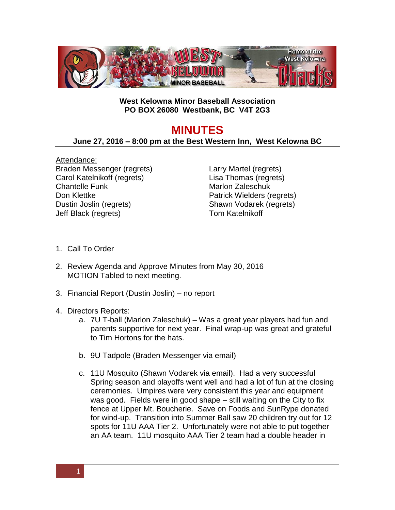

## **West Kelowna Minor Baseball Association PO BOX 26080 Westbank, BC V4T 2G3**

## **MINUTES**

## **June 27, 2016 – 8:00 pm at the Best Western Inn, West Kelowna BC**

Attendance: Braden Messenger (regrets) Carol Katelnikoff (regrets) Chantelle Funk Don Klettke Dustin Joslin (regrets) Jeff Black (regrets)

Larry Martel (regrets) Lisa Thomas (regrets) Marlon Zaleschuk Patrick Wielders (regrets) Shawn Vodarek (regrets) Tom Katelnikoff

- 1. Call To Order
- 2. Review Agenda and Approve Minutes from May 30, 2016 MOTION Tabled to next meeting.
- 3. Financial Report (Dustin Joslin) no report
- 4. Directors Reports:
	- a. 7U T-ball (Marlon Zaleschuk) Was a great year players had fun and parents supportive for next year. Final wrap-up was great and grateful to Tim Hortons for the hats.
	- b. 9U Tadpole (Braden Messenger via email)
	- c. 11U Mosquito (Shawn Vodarek via email). Had a very successful Spring season and playoffs went well and had a lot of fun at the closing ceremonies. Umpires were very consistent this year and equipment was good. Fields were in good shape – still waiting on the City to fix fence at Upper Mt. Boucherie. Save on Foods and SunRype donated for wind-up. Transition into Summer Ball saw 20 children try out for 12 spots for 11U AAA Tier 2. Unfortunately were not able to put together an AA team. 11U mosquito AAA Tier 2 team had a double header in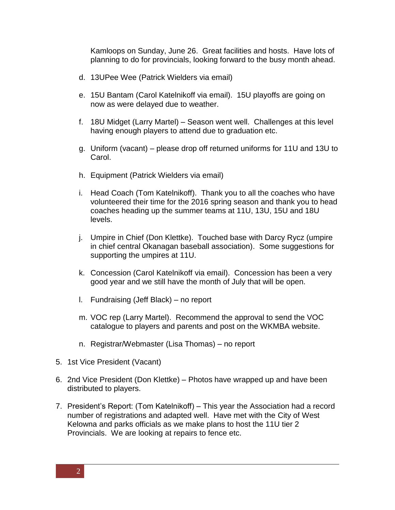Kamloops on Sunday, June 26. Great facilities and hosts. Have lots of planning to do for provincials, looking forward to the busy month ahead.

- d. 13UPee Wee (Patrick Wielders via email)
- e. 15U Bantam (Carol Katelnikoff via email). 15U playoffs are going on now as were delayed due to weather.
- f. 18U Midget (Larry Martel) Season went well. Challenges at this level having enough players to attend due to graduation etc.
- g. Uniform (vacant) please drop off returned uniforms for 11U and 13U to Carol.
- h. Equipment (Patrick Wielders via email)
- i. Head Coach (Tom Katelnikoff). Thank you to all the coaches who have volunteered their time for the 2016 spring season and thank you to head coaches heading up the summer teams at 11U, 13U, 15U and 18U levels.
- j. Umpire in Chief (Don Klettke). Touched base with Darcy Rycz (umpire in chief central Okanagan baseball association). Some suggestions for supporting the umpires at 11U.
- k. Concession (Carol Katelnikoff via email). Concession has been a very good year and we still have the month of July that will be open.
- l. Fundraising (Jeff Black) no report
- m. VOC rep (Larry Martel). Recommend the approval to send the VOC catalogue to players and parents and post on the WKMBA website.
- n. Registrar/Webmaster (Lisa Thomas) no report
- 5. 1st Vice President (Vacant)
- 6. 2nd Vice President (Don Klettke) Photos have wrapped up and have been distributed to players.
- 7. President's Report: (Tom Katelnikoff) This year the Association had a record number of registrations and adapted well. Have met with the City of West Kelowna and parks officials as we make plans to host the 11U tier 2 Provincials. We are looking at repairs to fence etc.